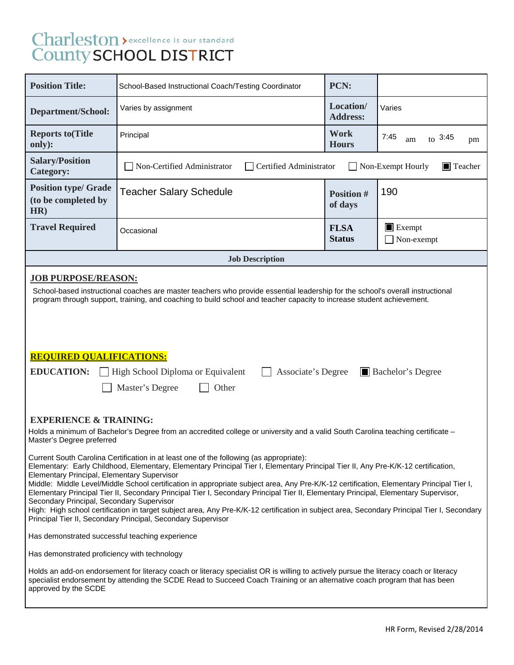# Charleston > excellence is our standard<br>County SCHOOL DISTRICT

| <b>Position Title:</b>                                                                                                                                                                                                                                                                                                                                                                                                                                                                                                                                                                                                                                                                                                                                                                                                                                                                                                                                                                                                                                                                                                                                                                                                             | School-Based Instructional Coach/Testing Coordinator                                                                            | PCN:                         |                                     |  |  |
|------------------------------------------------------------------------------------------------------------------------------------------------------------------------------------------------------------------------------------------------------------------------------------------------------------------------------------------------------------------------------------------------------------------------------------------------------------------------------------------------------------------------------------------------------------------------------------------------------------------------------------------------------------------------------------------------------------------------------------------------------------------------------------------------------------------------------------------------------------------------------------------------------------------------------------------------------------------------------------------------------------------------------------------------------------------------------------------------------------------------------------------------------------------------------------------------------------------------------------|---------------------------------------------------------------------------------------------------------------------------------|------------------------------|-------------------------------------|--|--|
| <b>Department/School:</b>                                                                                                                                                                                                                                                                                                                                                                                                                                                                                                                                                                                                                                                                                                                                                                                                                                                                                                                                                                                                                                                                                                                                                                                                          | Varies by assignment                                                                                                            | Location/<br><b>Address:</b> | Varies                              |  |  |
| <b>Reports to (Title</b><br>only):                                                                                                                                                                                                                                                                                                                                                                                                                                                                                                                                                                                                                                                                                                                                                                                                                                                                                                                                                                                                                                                                                                                                                                                                 | Principal                                                                                                                       | <b>Work</b><br><b>Hours</b>  | 7:45<br>$_{to}$ 3:45<br>am<br>pm    |  |  |
| <b>Salary/Position</b><br><b>Category:</b>                                                                                                                                                                                                                                                                                                                                                                                                                                                                                                                                                                                                                                                                                                                                                                                                                                                                                                                                                                                                                                                                                                                                                                                         | Non-Certified Administrator<br>Certified Administrator<br>$\blacksquare$ Teacher<br>Non-Exempt Hourly                           |                              |                                     |  |  |
| <b>Position type/ Grade</b><br>(to be completed by<br>HR)                                                                                                                                                                                                                                                                                                                                                                                                                                                                                                                                                                                                                                                                                                                                                                                                                                                                                                                                                                                                                                                                                                                                                                          | <b>Teacher Salary Schedule</b>                                                                                                  | <b>Position #</b><br>of days | 190                                 |  |  |
| <b>Travel Required</b>                                                                                                                                                                                                                                                                                                                                                                                                                                                                                                                                                                                                                                                                                                                                                                                                                                                                                                                                                                                                                                                                                                                                                                                                             | Occasional                                                                                                                      | <b>FLSA</b><br><b>Status</b> | $\blacksquare$ Exempt<br>Non-exempt |  |  |
|                                                                                                                                                                                                                                                                                                                                                                                                                                                                                                                                                                                                                                                                                                                                                                                                                                                                                                                                                                                                                                                                                                                                                                                                                                    | <b>Job Description</b>                                                                                                          |                              |                                     |  |  |
| School-based instructional coaches are master teachers who provide essential leadership for the school's overall instructional<br>program through support, training, and coaching to build school and teacher capacity to increase student achievement.<br><b>REQUIRED QUALIFICATIONS:</b><br><b>EDUCATION:</b><br>High School Diploma or Equivalent<br><b>Bachelor's Degree</b><br>Associate's Degree<br>Master's Degree<br>Other<br><b>EXPERIENCE &amp; TRAINING:</b>                                                                                                                                                                                                                                                                                                                                                                                                                                                                                                                                                                                                                                                                                                                                                            |                                                                                                                                 |                              |                                     |  |  |
| Master's Degree preferred                                                                                                                                                                                                                                                                                                                                                                                                                                                                                                                                                                                                                                                                                                                                                                                                                                                                                                                                                                                                                                                                                                                                                                                                          | Holds a minimum of Bachelor's Degree from an accredited college or university and a valid South Carolina teaching certificate - |                              |                                     |  |  |
| Current South Carolina Certification in at least one of the following (as appropriate):<br>Elementary: Early Childhood, Elementary, Elementary Principal Tier I, Elementary Principal Tier II, Any Pre-K/K-12 certification,<br><b>Elementary Principal, Elementary Supervisor</b><br>Middle: Middle Level/Middle School certification in appropriate subject area, Any Pre-K/K-12 certification, Elementary Principal Tier I,<br>Elementary Principal Tier II, Secondary Principal Tier I, Secondary Principal Tier II, Elementary Principal, Elementary Supervisor,<br>Secondary Principal, Secondary Supervisor<br>High: High school certification in target subject area, Any Pre-K/K-12 certification in subject area, Secondary Principal Tier I, Secondary<br>Principal Tier II, Secondary Principal, Secondary Supervisor<br>Has demonstrated successful teaching experience<br>Has demonstrated proficiency with technology<br>Holds an add-on endorsement for literacy coach or literacy specialist OR is willing to actively pursue the literacy coach or literacy<br>specialist endorsement by attending the SCDE Read to Succeed Coach Training or an alternative coach program that has been<br>approved by the SCDE |                                                                                                                                 |                              |                                     |  |  |
|                                                                                                                                                                                                                                                                                                                                                                                                                                                                                                                                                                                                                                                                                                                                                                                                                                                                                                                                                                                                                                                                                                                                                                                                                                    |                                                                                                                                 |                              |                                     |  |  |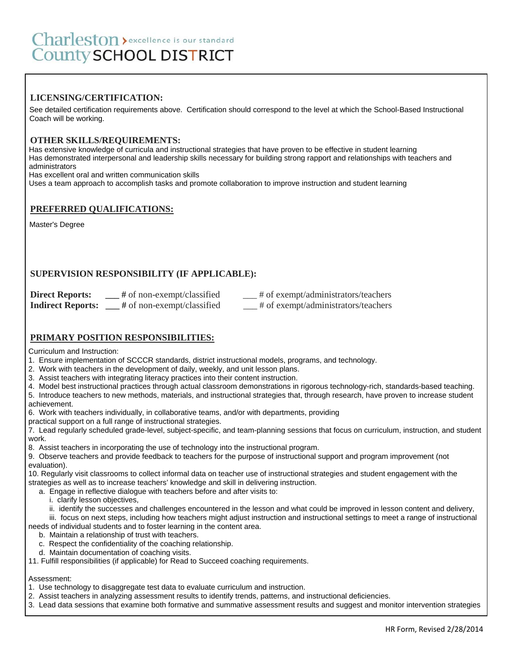# **LICENSING/CERTIFICATION:**

 See detailed certification requirements above. Certification should correspond to the level at which the School-Based Instructional Coach will be working.

#### **OTHER SKILLS/REQUIREMENTS:**

 Has extensive knowledge of curricula and instructional strategies that have proven to be effective in student learning Has demonstrated interpersonal and leadership skills necessary for building strong rapport and relationships with teachers and administrators

Has excellent oral and written communication skills

Uses a team approach to accomplish tasks and promote collaboration to improve instruction and student learning

#### **PREFERRED QUALIFICATIONS:**

Master's Degree

# **SUPERVISION RESPONSIBILITY (IF APPLICABLE):**

| <b>Direct Reports:</b>   | $#$ of non-exempt/classified | # of exempt/administrators/teachers |
|--------------------------|------------------------------|-------------------------------------|
| <b>Indirect Reports:</b> | # of non-exempt/classified   | # of exempt/administrators/teachers |

### **PRIMARY POSITION RESPONSIBILITIES:**

Curriculum and Instruction:

1. Ensure implementation of SCCCR standards, district instructional models, programs, and technology.

- 2. Work with teachers in the development of daily, weekly, and unit lesson plans.
- 3. Assist teachers with integrating literacy practices into their content instruction.

4. Model best instructional practices through actual classroom demonstrations in rigorous technology-rich, standards-based teaching. 5. Introduce teachers to new methods, materials, and instructional strategies that, through research, have proven to increase student

achievement. 6. Work with teachers individually, in collaborative teams, and/or with departments, providing

practical support on a full range of instructional strategies.

7. Lead regularly scheduled grade-level, subject-specific, and team-planning sessions that focus on curriculum, instruction, and student work.

8. Assist teachers in incorporating the use of technology into the instructional program.

9. Observe teachers and provide feedback to teachers for the purpose of instructional support and program improvement (not evaluation).

10. Regularly visit classrooms to collect informal data on teacher use of instructional strategies and student engagement with the strategies as well as to increase teachers' knowledge and skill in delivering instruction.

- a. Engage in reflective dialogue with teachers before and after visits to:
	- i. clarify lesson objectives,
	- ii. identify the successes and challenges encountered in the lesson and what could be improved in lesson content and delivery,

 iii. focus on next steps, including how teachers might adjust instruction and instructional settings to meet a range of instructional needs of individual students and to foster learning in the content area.

b. Maintain a relationship of trust with teachers.

- c. Respect the confidentiality of the coaching relationship.
- d. Maintain documentation of coaching visits.

11. Fulfill responsibilities (if applicable) for Read to Succeed coaching requirements.

# Assessment:

- 1. Use technology to disaggregate test data to evaluate curriculum and instruction.
- 2. Assist teachers in analyzing assessment results to identify trends, patterns, and instructional deficiencies.
- 3. Lead data sessions that examine both formative and summative assessment results and suggest and monitor intervention strategies